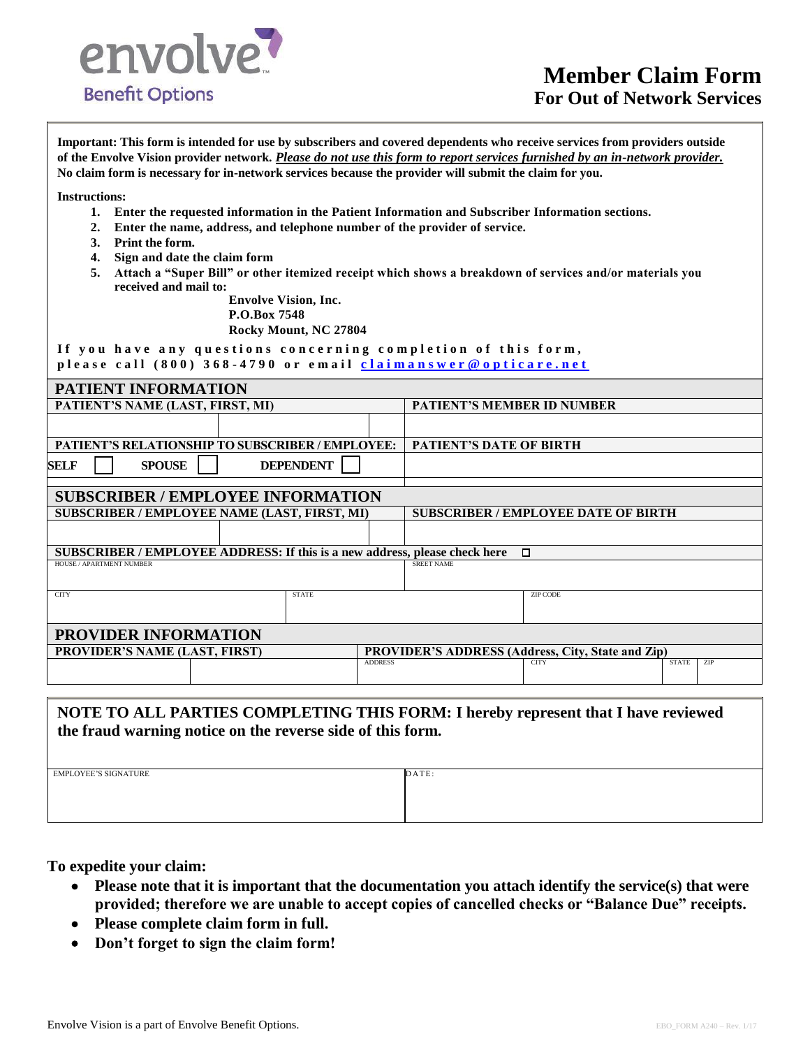

**Important: This form is intended for use by subscribers and covered dependents who receive services from providers outside of the Envolve Vision provider network.** *Please do not use this form to report services furnished by an in-network provider.* **No claim form is necessary for in-network services because the provider will submit the claim for you.**

**Instructions:**

- **1. Enter the requested information in the Patient Information and Subscriber Information sections.**
- **2. Enter the name, address, and telephone number of the provider of service.**
- **3. Print the form.**
- **4. Sign and date the claim form**
- **5. Attach a "Super Bill" or other itemized receipt which shows a breakdown of services and/or materials you received and mail to:**

**Envolve Vision, Inc. P.O.Box 7548 Rocky Mount, NC 27804**

If you have any questions concerning completion of this form, please call (800) 368-4790 or email **claimanswer@opticare.net** 

| PATIENT INFORMATION                                                                  |  |                |                                                          |                 |                            |  |
|--------------------------------------------------------------------------------------|--|----------------|----------------------------------------------------------|-----------------|----------------------------|--|
| PATIENT'S NAME (LAST, FIRST, MI)                                                     |  |                | <b>PATIENT'S MEMBER ID NUMBER</b>                        |                 |                            |  |
|                                                                                      |  |                |                                                          |                 |                            |  |
| <b>PATIENT'S RELATIONSHIP TO SUBSCRIBER / EMPLOYEE:</b>                              |  |                | <b>PATIENT'S DATE OF BIRTH</b>                           |                 |                            |  |
| <b>DEPENDENT</b><br><b>SELF</b><br><b>SPOUSE</b>                                     |  |                |                                                          |                 |                            |  |
|                                                                                      |  |                |                                                          |                 |                            |  |
| <b>SUBSCRIBER / EMPLOYEE INFORMATION</b>                                             |  |                |                                                          |                 |                            |  |
| SUBSCRIBER / EMPLOYEE NAME (LAST, FIRST, MI)                                         |  |                | <b>SUBSCRIBER / EMPLOYEE DATE OF BIRTH</b>               |                 |                            |  |
|                                                                                      |  |                |                                                          |                 |                            |  |
| SUBSCRIBER / EMPLOYEE ADDRESS: If this is a new address, please check here<br>$\Box$ |  |                |                                                          |                 |                            |  |
| HOUSE / APARTMENT NUMBER                                                             |  |                | <b>SREET NAME</b>                                        |                 |                            |  |
| <b>CITY</b><br><b>STATE</b>                                                          |  |                |                                                          | <b>ZIP CODE</b> |                            |  |
| <b>PROVIDER INFORMATION</b>                                                          |  |                |                                                          |                 |                            |  |
| <b>PROVIDER'S NAME (LAST, FIRST)</b>                                                 |  |                | <b>PROVIDER'S ADDRESS (Address, City, State and Zip)</b> |                 |                            |  |
|                                                                                      |  | <b>ADDRESS</b> |                                                          | <b>CITY</b>     | <b>ZIP</b><br><b>STATE</b> |  |

## **NOTE TO ALL PARTIES COMPLETING THIS FORM: I hereby represent that I have reviewed the fraud warning notice on the reverse side of this form.**

EMPLOYEE'S SIGNATURE DATE:

**To expedite your claim:**

- **Please note that it is important that the documentation you attach identify the service(s) that were provided; therefore we are unable to accept copies of cancelled checks or "Balance Due" receipts.**
- **Please complete claim form in full.**
- **Don't forget to sign the claim form!**